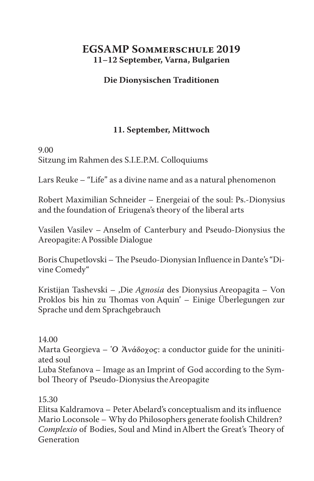# **EGSAMP Sommerschule 2019 11–12 September, Varna, Bulgarien**

## **Die Dionysischen Traditionen**

## **11. September, Mittwoch**

### 9.00 Sitzung im Rahmen des S.I.E.P.M. Colloquiums

Lars Reuke – "Life" as a divine name and as a natural phenomenon

Robert Maximilian Schneider – Energeiai of the soul: Ps.-Dionysius and the foundation of Eriugena's theory of the liberal arts

Vasilen Vasilev – Anselm of Canterbury and Pseudo-Dionysius the Areopagite: A Possible Dialogue

Boris Chupetlovski – The Pseudo-Dionysian Influence in Dante's "Divine Comedy"

Kristijan Tashevski - ,Die *Agnosia* des Dionysius Areopagita - Von Proklos bis hin zu Thomas von Aquin' – Einige Überlegungen zur Sprache und dem Sprachgebrauch

### 14.00

Marta Georgieva – Ὁ Ἀνάδοχος: a conductor guide for the uninitiated soul

Luba Stefanova – Image as an Imprint of God according to the Symbol Theory of Pseudo-Dionysius the Areopagite

15.30

Elitsa Kaldramova – Peter Abelard's conceptualism and its influence Mario Loconsole – Why do Philosophers generate foolish Children? *Complexio* of Bodies, Soul and Mind in Albert the Great's Theory of Generation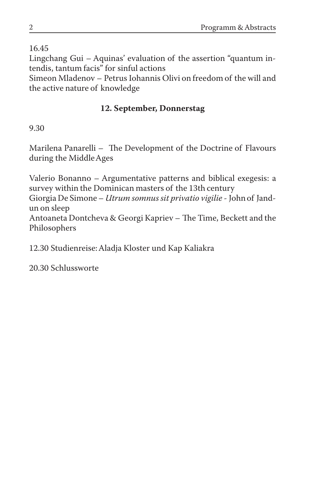16.45

Lingchang Gui – Aquinas' evaluation of the assertion "quantum intendis, tantum facis" for sinful actions

Simeon Mladenov – Petrus Iohannis Olivi on freedom of the will and the active nature of knowledge

# **12. September, Donnerstag**

9.30

Marilena Panarelli – The Development of the Doctrine of Flavours during the Middle Ages

Valerio Bonanno – Argumentative patterns and biblical exegesis: a survey within the Dominican masters of the 13th century Giorgia De Simone – *Utrum somnus sit privatio vigilie* - John of Jandun on sleep Antoaneta Dontcheva & Georgi Kapriev – The Time, Beckett and the Philosophers

12.30 Studienreise: Aladja Kloster und Kap Kaliakra

20.30 Schlussworte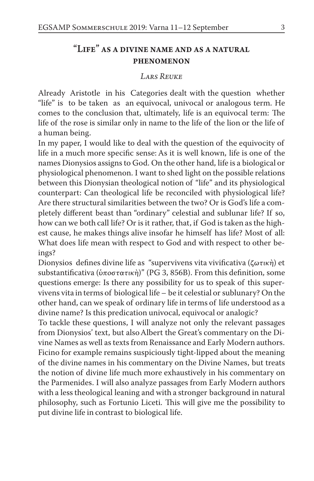# "Life" as a divine name and as a natural phenomenon

#### *Lars Reuke*

Already Aristotle in his Categories dealt with the question whether "life" is to be taken as an equivocal, univocal or analogous term. He comes to the conclusion that, ultimately, life is an equivocal term: The life of the rose is similar only in name to the life of the lion or the life of a human being.

In my paper, I would like to deal with the question of the equivocity of life in a much more specific sense: As it is well known, life is one of the names Dionysios assigns to God. On the other hand, life is a biological or physiological phenomenon. I want to shed light on the possible relations between this Dionysian theological notion of "life" and its physiological counterpart: Can theological life be reconciled with physiological life? Are there structural similarities between the two? Or is God's life a completely different beast than "ordinary" celestial and sublunar life? If so, how can we both call life? Or is it rather, that, if God is taken as the highest cause, he makes things alive insofar he himself has life? Most of all: What does life mean with respect to God and with respect to other beings?

Dionysios defines divine life as "supervivens vita vivificativa (ζωτικὴ) et substantificativa (ὑποστατικὴ)" (PG 3, 856B). From this definition, some questions emerge: Is there any possibility for us to speak of this supervivens vita in terms of biological life – be it celestial or sublunary? On the other hand, can we speak of ordinary life in terms of life understood as a divine name? Is this predication univocal, equivocal or analogic?

To tackle these questions, I will analyze not only the relevant passages from Dionysios' text, but also Albert the Great's commentary on the Divine Names as well as texts from Renaissance and Early Modern authors. Ficino for example remains suspiciously tight-lipped about the meaning of the divine names in his commentary on the Divine Names, but treats the notion of divine life much more exhaustively in his commentary on the Parmenides. I will also analyze passages from Early Modern authors with a less theological leaning and with a stronger background in natural philosophy, such as Fortunio Liceti. This will give me the possibility to put divine life in contrast to biological life.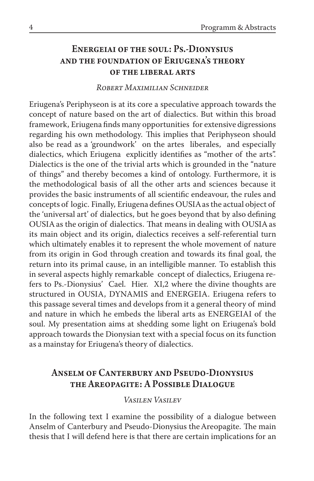# Energeiai of the soul: Ps.-Dionysius and the foundation of Eriugena's theory of the liberal arts

#### *Robert Maximilian Schneider*

Eriugena's Periphyseon is at its core a speculative approach towards the concept of nature based on the art of dialectics. But within this broad framework, Eriugena finds many opportunities for extensive digressions regarding his own methodology. This implies that Periphyseon should also be read as a 'groundwork' on the artes liberales, and especially dialectics, which Eriugena explicitly identifies as "mother of the arts". Dialectics is the one of the trivial arts which is grounded in the "nature of things" and thereby becomes a kind of ontology. Furthermore, it is the methodological basis of all the other arts and sciences because it provides the basic instruments of all scientific endeavour, the rules and concepts of logic. Finally, Eriugena defines OUSIA as the actual object of the 'universal art' of dialectics, but he goes beyond that by also defining OUSIA as the origin of dialectics. That means in dealing with OUSIA as its main object and its origin, dialectics receives a self-referential turn which ultimately enables it to represent the whole movement of nature from its origin in God through creation and towards its final goal, the return into its primal cause, in an intelligible manner. To establish this in several aspects highly remarkable concept of dialectics, Eriugena refers to Ps.-Dionysius' Cael. Hier. XI,2 where the divine thoughts are structured in OUSIA, DYNAMIS and ENERGEIA. Eriugena refers to this passage several times and develops from it a general theory of mind and nature in which he embeds the liberal arts as ENERGEIAI of the soul. My presentation aims at shedding some light on Eriugena's bold approach towards the Dionysian text with a special focus on its function as a mainstay for Eriugena's theory of dialectics.

# Anselm of Canterbury and Pseudo-Dionysius the Areopagite: A Possible Dialogue

### *Vasilen Vasilev*

In the following text I examine the possibility of a dialogue between Anselm of Canterbury and Pseudo-Dionysius the Areopagite. The main thesis that I will defend here is that there are certain implications for an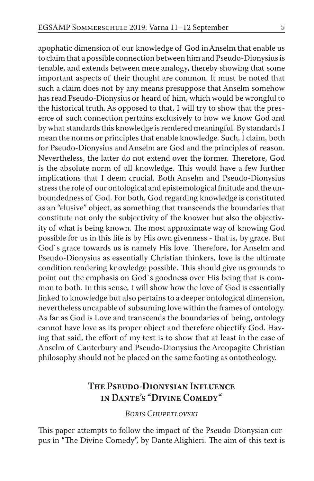apophatic dimension of our knowledge of God in Anselm that enable us to claim that a possible connection between him and Pseudo-Dionysius is tenable, and extends between mere analogy, thereby showing that some important aspects of their thought are common. It must be noted that such a claim does not by any means presuppose that Anselm somehow has read Pseudo-Dionysius or heard of him, which would be wrongful to the historical truth. As opposed to that, I will try to show that the presence of such connection pertains exclusively to how we know God and by what standards this knowledge is rendered meaningful. By standards I mean the norms or principles that enable knowledge. Such, I claim, both for Pseudo-Dionysius and Anselm are God and the principles of reason. Nevertheless, the latter do not extend over the former. Therefore, God is the absolute norm of all knowledge. This would have a few further implications that I deem crucial. Both Anselm and Pseudo-Dionysius stress the role of our ontological and epistemological finitude and the unboundedness of God. For both, God regarding knowledge is constituted as an "elusive" object, as something that transcends the boundaries that constitute not only the subjectivity of the knower but also the objectivity of what is being known. The most approximate way of knowing God possible for us in this life is by His own givenness - that is, by grace. But God`s grace towards us is namely His love. Therefore, for Anselm and Pseudo-Dionysius as essentially Christian thinkers, love is the ultimate condition rendering knowledge possible. This should give us grounds to point out the emphasis on God`s goodness over His being that is common to both. In this sense, I will show how the love of God is essentially linked to knowledge but also pertains to a deeper ontological dimension, nevertheless uncapable of subsuming love within the frames of ontology. As far as God is Love and transcends the boundaries of being, ontology cannot have love as its proper object and therefore objectify God. Having that said, the effort of my text is to show that at least in the case of Anselm of Canterbury and Pseudo-Dionysius the Areopagite Christian philosophy should not be placed on the same footing as ontotheology.

# The Pseudo-Dionysian Influence in Dante's "Divine Comedy"

*Boris Chupetlovski*

This paper attempts to follow the impact of the Pseudo-Dionysian corpus in "The Divine Comedy", by Dante Alighieri. The aim of this text is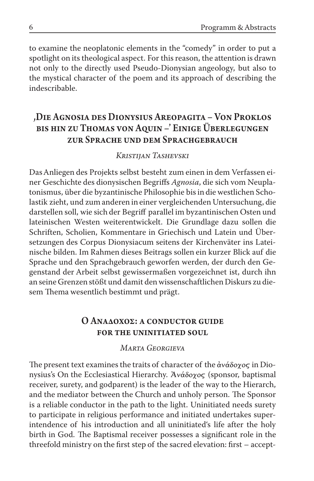to examine the neoplatonic elements in the "comedy" in order to put a spotlight on its theological aspect. For this reason, the attention is drawn not only to the directly used Pseudo-Dionysian angeology, but also to the mystical character of the poem and its approach of describing the indescribable.

# 'Die Agnosia des Dionysius Areopagita – Von Proklos bis hin zu Thomas von Aquin –' Einige Überlegungen zur Sprache und dem Sprachgebrauch

#### *Kristijan Tashevski*

Das Anliegen des Projekts selbst besteht zum einen in dem Verfassen einer Geschichte des dionysischen Begriffs *Agnosia*, die sich vom Neuplatonismus, über die byzantinische Philosophie bis in die westlichen Scholastik zieht, und zum anderen in einer vergleichenden Untersuchung, die darstellen soll, wie sich der Begriff parallel im byzantinischen Osten und lateinischen Westen weiterentwickelt. Die Grundlage dazu sollen die Schriften, Scholien, Kommentare in Griechisch und Latein und Übersetzungen des Corpus Dionysiacum seitens der Kirchenväter ins Lateinische bilden. Im Rahmen dieses Beitrags sollen ein kurzer Blick auf die Sprache und den Sprachgebrauch geworfen werden, der durch den Gegenstand der Arbeit selbst gewissermaßen vorgezeichnet ist, durch ihn an seine Grenzen stößt und damit den wissenschaftlichen Diskurs zu diesem Thema wesentlich bestimmt und prägt.

### Ο ΑΝΑΔΟΧΟΣ: A CONDUCTOR GUIDE for the uninitiated soul

#### *Marta Georgieva*

The present text examines the traits of character of the  $\dot{\alpha}$ νάδοχος in Dionysius's On the Ecclesiastical Hierarchy. Ἀνάδοχος (sponsor, baptismal receiver, surety, and godparent) is the leader of the way to the Hierarch, and the mediator between the Church and unholy person. The Sponsor is a reliable conductor in the path to the light. Uninitiated needs surety to participate in religious performance and initiated undertakes superintendence of his introduction and all uninitiated's life after the holy birth in God. The Baptismal receiver possesses a significant role in the threefold ministry on the first step of the sacred elevation: first – accept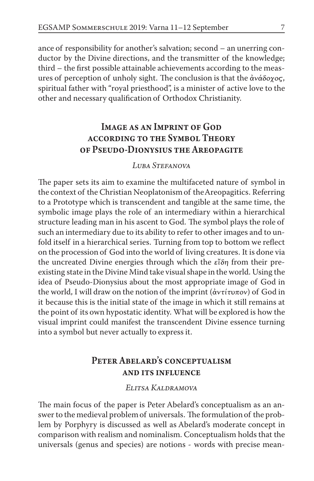ance of responsibility for another's salvation; second – an unerring conductor by the Divine directions, and the transmitter of the knowledge; third – the first possible attainable achievements according to the measures of perception of unholy sight. The conclusion is that the ανάδοχος, spiritual father with "royal priesthood", is a minister of active love to the other and necessary qualification of Orthodox Christianity.

# Image as an Imprint of God according to the Symbol Theory of Pseudo-Dionysius the Areopagite

### *Luba Stefanova*

The paper sets its aim to examine the multifaceted nature of symbol in the context of the Christian Neoplatonism of the Areopagitics. Referring to a Prototype which is transcendent and tangible at the same time, the symbolic image plays the role of an intermediary within a hierarchical structure leading man in his ascent to God. The symbol plays the role of such an intermediary due to its ability to refer to other images and to unfold itself in a hierarchical series. Turning from top to bottom we reflect on the procession of God into the world of living creatures. It is done via the uncreated Divine energies through which the  $\varepsilon$ <sup>n'</sup> $\delta$ η from their preexisting state in the Divine Mind take visual shape in the world. Using the idea of Pseudo-Dionysius about the most appropriate image of God in the world, I will draw on the notion of the imprint ( $\frac{\partial v\tau}{\partial x}$  ( $\frac{\partial v}{\partial y}$ ) of God in it because this is the initial state of the image in which it still remains at the point of its own hypostatic identity. What will be explored is how the visual imprint could manifest the transcendent Divine essence turning into a symbol but never actually to express it.

# PETER ABELARD'S CONCEPTUALISM and its influence

### *Elitsa Kaldramova*

The main focus of the paper is Peter Abelard's conceptualism as an answer to the medieval problem of universals. The formulation of the problem by Porphyry is discussed as well as Abelard's moderate concept in comparison with realism and nominalism. Conceptualism holds that the universals (genus and species) are notions - words with precise mean-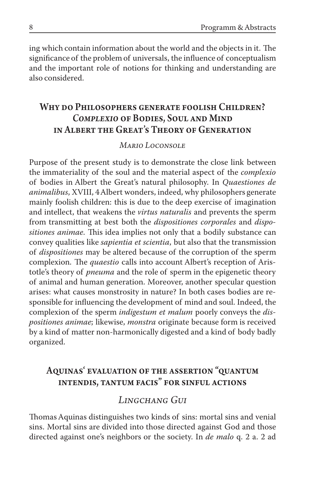ing which contain information about the world and the objects in it. The significance of the problem of universals, the influence of conceptualism and the important role of notions for thinking and understanding are also considered.

# Why do Philosophers generate foolish Children? *Complexio* of Bodies, Soul and Mind in Albert the Great's Theory of Generation

#### *Mario Loconsole*

Purpose of the present study is to demonstrate the close link between the immateriality of the soul and the material aspect of the *complexio*  of bodies in Albert the Great's natural philosophy. In *Quaestiones de animalibus*, XVIII, 4 Albert wonders, indeed, why philosophers generate mainly foolish children: this is due to the deep exercise of imagination and intellect, that weakens the *virtus naturalis* and prevents the sperm from transmitting at best both the *dispositiones corporales* and *dispositiones animae*. This idea implies not only that a bodily substance can convey qualities like *sapientia et scientia*, but also that the transmission of *dispositiones* may be altered because of the corruption of the sperm complexion. The *quaestio* calls into account Albert's reception of Aristotle's theory of *pneuma* and the role of sperm in the epigenetic theory of animal and human generation. Moreover, another specular question arises: what causes monstrosity in nature? In both cases bodies are responsible for influencing the development of mind and soul. Indeed, the complexion of the sperm *indigestum et malum* poorly conveys the *dispositiones animae*; likewise, *monstra* originate because form is received by a kind of matter non-harmonically digested and a kind of body badly organized.

# Aquinas' evaluation of the assertion "quantum intendis, tantum facis" for sinful actions

### *Lingchang Gui*

Thomas Aquinas distinguishes two kinds of sins: mortal sins and venial sins. Mortal sins are divided into those directed against God and those directed against one's neighbors or the society. In *de malo* q. 2 a. 2 ad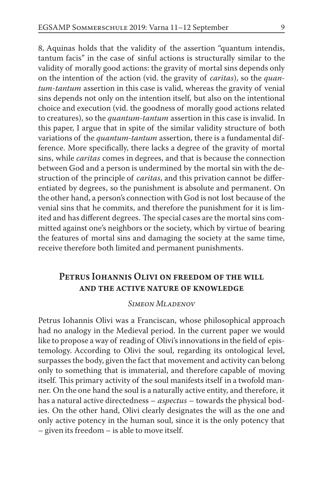8, Aquinas holds that the validity of the assertion "quantum intendis, tantum facis" in the case of sinful actions is structurally similar to the validity of morally good actions: the gravity of mortal sins depends only on the intention of the action (vid. the gravity of *caritas*), so the *quantum*-*tantum* assertion in this case is valid, whereas the gravity of venial sins depends not only on the intention itself, but also on the intentional choice and execution (vid. the goodness of morally good actions related to creatures), so the *quantum-tantum* assertion in this case is invalid. In this paper, I argue that in spite of the similar validity structure of both variations of the *quantum-tantum* assertion, there is a fundamental difference. More specifically, there lacks a degree of the gravity of mortal sins, while *caritas* comes in degrees, and that is because the connection between God and a person is undermined by the mortal sin with the destruction of the principle of *caritas*, and this privation cannot be differentiated by degrees, so the punishment is absolute and permanent. On the other hand, a person's connection with God is not lost because of the venial sins that he commits, and therefore the punishment for it is limited and has different degrees. The special cases are the mortal sins committed against one's neighbors or the society, which by virtue of bearing the features of mortal sins and damaging the society at the same time, receive therefore both limited and permanent punishments.

# Petrus Iohannis Olivi on freedom of the will and the active nature of knowledge

#### *Simeon Mladenov*

Petrus Iohannis Olivi was a Franciscan, whose philosophical approach had no analogy in the Medieval period. In the current paper we would like to propose a way of reading of Olivi's innovations in the field of epistemology. According to Olivi the soul, regarding its ontological level, surpasses the body, given the fact that movement and activity can belong only to something that is immaterial, and therefore capable of moving itself. This primary activity of the soul manifests itself in a twofold manner. On the one hand the soul is a naturally active entity, and therefore, it has a natural active directedness – *aspectus* – towards the physical bodies. On the other hand, Olivi clearly designates the will as the one and only active potency in the human soul, since it is the only potency that – given its freedom – is able to move itself.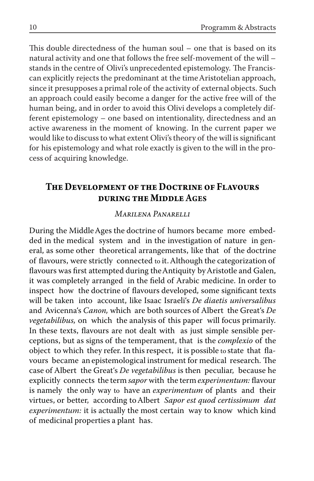This double directedness of the human soul – one that is based on its natural activity and one that follows the free self-movement of the will – stands in the centre of Olivi's unprecedented epistemology. The Franciscan explicitly rejects the predominant at the time Aristotelian approach, since it presupposes a primal role of the activity of external objects. Such an approach could easily become a danger for the active free will of the human being, and in order to avoid this Olivi develops a completely different epistemology – one based on intentionality, directedness and an active awareness in the moment of knowing. In the current paper we would like to discuss to what extent Olivi's theory of the will is significant for his epistemology and what role exactly is given to the will in the process of acquiring knowledge.

## **The Development of the Doctrine of Flavours during the Middle** Ages

#### *Marilena Panarelli*

During the Middle Ages the doctrine of humors became more embedded in the medical system and in the investigation of nature in general, as some other theoretical arrangements, like that of the doctrine of flavours, were strictly connected to it. Although the categorization of flavours was first attempted during the Antiquity by Aristotle and Galen, it was completely arranged in the field of Arabic medicine. In order to inspect how the doctrine of flavours developed, some significant texts will be taken into account, like Isaac Israeli's *De diaetis universalibus*  and Avicenna's *Canon,* which are both sources of Albert the Great's *De vegetabilibus,* on which the analysis of this paper will focus primarily. In these texts, flavours are not dealt with as just simple sensible perceptions, but as signs of the temperament, that is the *complexio* of the object to which they refer. In this respect, it is possible to state that flavours became an epistemological instrument for medical research. The case of Albert the Great's *De vegetabilibus* is then peculiar, because he explicitly connects the term *sapor* with the term *experimentum:* flavour is namely the only way to have an *experimentum* of plants and their virtues, or better, according to Albert *Sapor est quod certissimum dat experimentum:* it is actually the most certain way to know which kind of medicinal properties a plant has.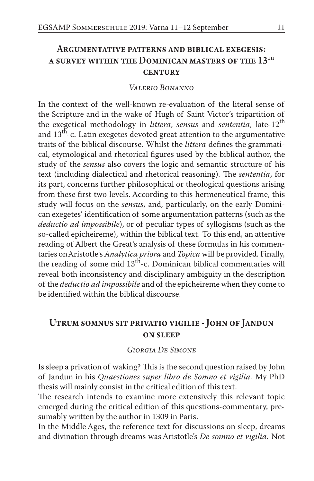# Argumentative patterns and biblical exegesis: a survey within the Dominican masters of the 13th **CENTURY**

#### *Valerio Bonanno*

In the context of the well-known re-evaluation of the literal sense of the Scripture and in the wake of Hugh of Saint Victor's tripartition of the exegetical methodology in *littera*, *sensus* and *sententia*, late-12th and  $13<sup>th</sup>$ -c. Latin exegetes devoted great attention to the argumentative traits of the biblical discourse. Whilst the *littera* defines the grammatical, etymological and rhetorical figures used by the biblical author, the study of the *sensus* also covers the logic and semantic structure of his text (including dialectical and rhetorical reasoning). The *sententia*, for its part, concerns further philosophical or theological questions arising from these first two levels. According to this hermeneutical frame, this study will focus on the *sensus*, and, particularly, on the early Dominican exegetes' identification of some argumentation patterns (such as the *deductio ad impossibile*), or of peculiar types of syllogisms (such as the so-called epicheireme), within the biblical text. To this end, an attentive reading of Albert the Great's analysis of these formulas in his commentaries on Aristotle's *Analytica priora* and *Topica* will be provided. Finally, the reading of some mid  $13<sup>th</sup>$ -c. Dominican biblical commentaries will reveal both inconsistency and disciplinary ambiguity in the description of the *deductio ad impossibile* and of the epicheireme when they come to be identified within the biblical discourse.

# Utrum somnus sit privatio vigilie - John of Jandun **ON SLEEP**

#### *Giorgia De Simone*

Is sleep a privation of waking? This is the second question raised by John of Jandun in his *Quaestiones super libro de Somno et vigilia.* My PhD thesis will mainly consist in the critical edition of this text.

The research intends to examine more extensively this relevant topic emerged during the critical edition of this questions-commentary, presumably written by the author in 1309 in Paris.

In the Middle Ages, the reference text for discussions on sleep, dreams and divination through dreams was Aristotle's *De somno et vigilia.* Not